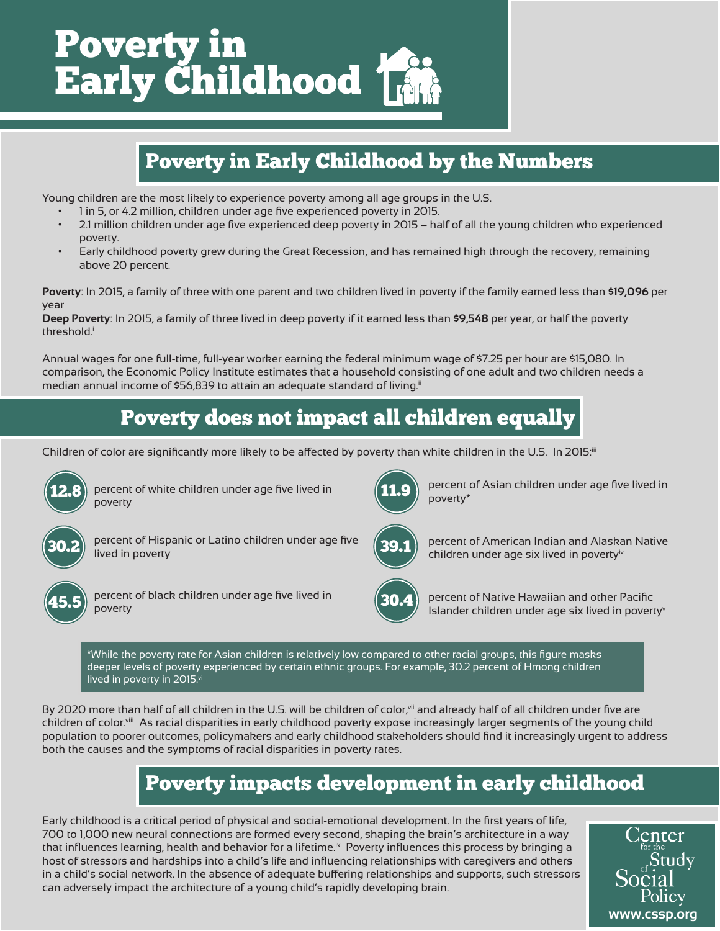

## Poverty in Early Childhood by the Numbers

Young children are the most likely to experience poverty among all age groups in the U.S.

- 1 in 5, or 4.2 million, children under age five experienced poverty in 2015.
- 2.1 million children under age five experienced deep poverty in 2015 half of all the young children who experienced poverty.
- Early childhood poverty grew during the Great Recession, and has remained high through the recovery, remaining above 20 percent.

**Poverty**: In 2015, a family of three with one parent and two children lived in poverty if the family earned less than **\$19,096** per year

**Deep Poverty**: In 2015, a family of three lived in deep poverty if it earned less than **\$9,548** per year, or half the poverty threshold.<sup>i</sup>

Annual wages for one full-time, full-year worker earning the federal minimum wage of \$7.25 per hour are \$15,080. In comparison, the Economic Policy Institute estimates that a household consisting of one adult and two children needs a median annual income of \$56,839 to attain an adequate standard of living.<sup>ii</sup>

## Poverty does not impact all children equally

Children of color are significantly more likely to be affected by poverty than white children in the U.S. In 2015:<sup>ii</sup>



percent of white children under age five lived in poverty



percent of Hispanic or Latino children under age five lived in poverty



percent of black children under age five lived in poverty

11.9

percent of Asian children under age five lived in poverty\*



percent of American Indian and Alaskan Native children under age six lived in poverty<sup>iv</sup>



percent of Native Hawaiian and other Pacific Islander children under age six lived in poverty<sup>v</sup>

\*While the poverty rate for Asian children is relatively low compared to other racial groups, this figure masks deeper levels of poverty experienced by certain ethnic groups. For example, 30.2 percent of Hmong children lived in poverty in 2015.vi

By 2020 more than half of all children in the U.S. will be children of color,<sup>vii</sup> and already half of all children under five are children of color.viii As racial disparities in early childhood poverty expose increasingly larger segments of the young child population to poorer outcomes, policymakers and early childhood stakeholders should find it increasingly urgent to address both the causes and the symptoms of racial disparities in poverty rates.

### Poverty impacts development in early childhood

Early childhood is a critical period of physical and social-emotional development. In the first years of life, 700 to 1,000 new neural connections are formed every second, shaping the brain's architecture in a way that influences learning, health and behavior for a lifetime.<sup>ix</sup> Poverty influences this process by bringing a host of stressors and hardships into a child's life and influencing relationships with caregivers and others in a child's social network. In the absence of adequate buffering relationships and supports, such stressors can adversely impact the architecture of a young child's rapidly developing brain.